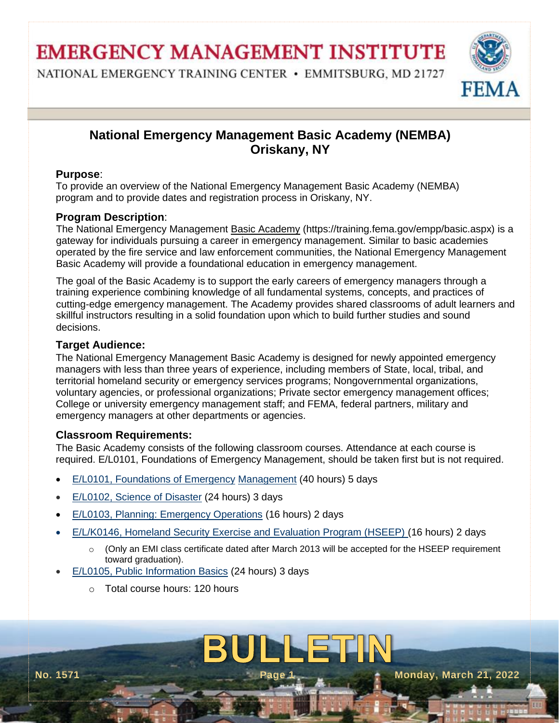**EMERGENCY MANAGEMENT INSTITUTE** 

NATIONAL EMERGENCY TRAINING CENTER • EMMITSBURG, MD 21727



# **National Emergency Management Basic Academy (NEMBA) Oriskany, NY**

## **Purpose**:

To provide an overview of the National Emergency Management Basic Academy (NEMBA) program and to provide dates and registration process in Oriskany, NY.

## **Program Description**:

The National Emergency Management [Basic Academy](https://training.fema.gov/empp/basic.aspx) (https://training.fema.gov/empp/basic.aspx) is a gateway for individuals pursuing a career in emergency management. Similar to basic academies operated by the fire service and law enforcement communities, the National Emergency Management Basic Academy will provide a foundational education in emergency management.

The goal of the Basic Academy is to support the early careers of emergency managers through a training experience combining knowledge of all fundamental systems, concepts, and practices of cutting-edge emergency management. The Academy provides shared classrooms of adult learners and skillful instructors resulting in a solid foundation upon which to build further studies and sound decisions.

## **Target Audience:**

The National Emergency Management Basic Academy is designed for newly appointed emergency managers with less than three years of experience, including members of State, local, tribal, and territorial homeland security or emergency services programs; Nongovernmental organizations, voluntary agencies, or professional organizations; Private sector emergency management offices; College or university emergency management staff; and FEMA, federal partners, military and emergency managers at other departments or agencies.

## **Classroom Requirements:**

The Basic Academy consists of the following classroom courses. Attendance at each course is required. E/L0101, Foundations of Emergency Management, should be taken first but is not required.

- [E/L0101, Foundations of Emergency](https://training.fema.gov/empp/E101.aspx) [Management](https://training.fema.gov/empp/E101.aspx) (40 hours) 5 days
- [E/L0102, Science of Disaster](https://training.fema.gov/empp/E102.aspx) (24 hours) 3 days
- [E/L0103, Planning: Emergency Operations](https://training.fema.gov/empp/E103.aspx) (16 hours) 2 days
- [E/L/K0146, Homeland Security Exercise and Evaluation Program \(HSEEP\)](https://training.fema.gov/empp/E146.aspx) (16 hours) 2 days
	- $\circ$  (Only an EMI class certificate dated after March 2013 will be accepted for the HSEEP requirement toward graduation).

BUINNETHI

- [E/L0105, Public Information Basics](https://training.fema.gov/empp/E105.aspx) (24 hours) 3 days
	- o Total course hours: 120 hours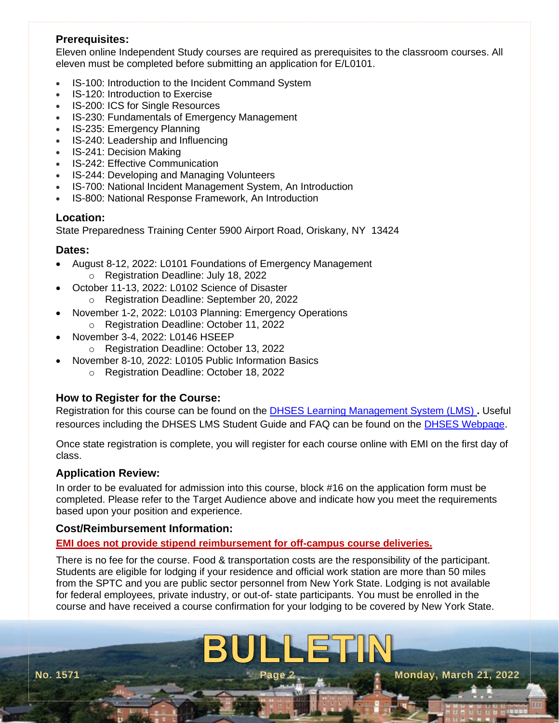## **Prerequisites:**

Eleven online Independent Study courses are required as prerequisites to the classroom courses. All eleven must be completed before submitting an application for E/L0101.

- IS-100: Introduction to the Incident Command System
- IS-120: Introduction to Exercise
- IS-200: ICS for Single Resources
- IS-230: Fundamentals of Emergency Management
- IS-235: Emergency Planning
- IS-240: Leadership and Influencing
- IS-241: Decision Making
- IS-242: Effective Communication
- IS-244: Developing and Managing Volunteers
- IS-700: National Incident Management System, An Introduction
- IS-800: National Response Framework, An Introduction

#### **Location:**

State Preparedness Training Center 5900 Airport Road, Oriskany, NY 13424

### **Dates:**

- August 8-12, 2022: L0101 Foundations of Emergency Management o Registration Deadline: July 18, 2022
- October 11-13, 2022: L0102 Science of Disaster
	- o Registration Deadline: September 20, 2022
- November 1-2, 2022: L0103 Planning: Emergency Operations
	- o Registration Deadline: October 11, 2022
- November 3-4, 2022: L0146 HSEEP
	- o Registration Deadline: October 13, 2022
	- November 8-10, 2022: L0105 Public Information Basics
		- o Registration Deadline: October 18, 2022

## **How to Register for the Course:**

Registration for this course can be found on the [DHSES Learning Management System \(LMS\)](https://lmsportal-dhses.ny.gov/AcadisViewer/Login.aspx) **.** Useful resources including the DHSES LMS Student Guide and FAQ can be found on the [DHSES Webpage](http://www.dhses.ny.gov/training/dhses-lms.cfm).

Once state registration is complete, you will register for each course online with EMI on the first day of class.

## **Application Review:**

In order to be evaluated for admission into this course, block #16 on the application form must be completed. Please refer to the Target Audience above and indicate how you meet the requirements based upon your position and experience.

### **Cost/Reimbursement Information:**

## **EMI does not provide stipend reimbursement for off-campus course deliveries.**

There is no fee for the course. Food & transportation costs are the responsibility of the participant. Students are eligible for lodging if your residence and official work station are more than 50 miles from the SPTC and you are public sector personnel from New York State. Lodging is not available for federal employees, private industry, or out-of- state participants. You must be enrolled in the course and have received a course confirmation for your lodging to be covered by New York State.